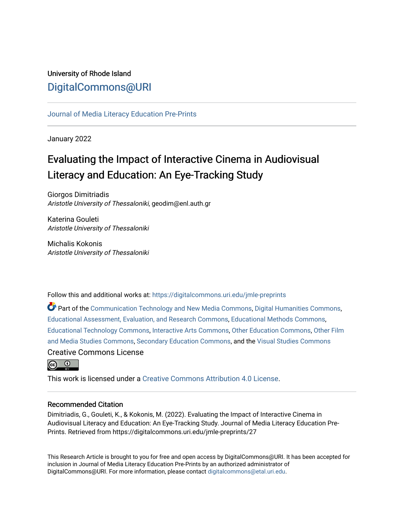# University of Rhode Island [DigitalCommons@URI](https://digitalcommons.uri.edu/)

## [Journal of Media Literacy Education Pre-Prints](https://digitalcommons.uri.edu/jmle-preprints)

January 2022

# Evaluating the Impact of Interactive Cinema in Audiovisual Literacy and Education: An Eye-Tracking Study

Giorgos Dimitriadis Aristotle University of Thessaloniki, geodim@enl.auth.gr

Katerina Gouleti Aristotle University of Thessaloniki

Michalis Kokonis Aristotle University of Thessaloniki

Follow this and additional works at: [https://digitalcommons.uri.edu/jmle-preprints](https://digitalcommons.uri.edu/jmle-preprints?utm_source=digitalcommons.uri.edu%2Fjmle-preprints%2F27&utm_medium=PDF&utm_campaign=PDFCoverPages) 

Part of the [Communication Technology and New Media Commons,](http://network.bepress.com/hgg/discipline/327?utm_source=digitalcommons.uri.edu%2Fjmle-preprints%2F27&utm_medium=PDF&utm_campaign=PDFCoverPages) [Digital Humanities Commons](http://network.bepress.com/hgg/discipline/1286?utm_source=digitalcommons.uri.edu%2Fjmle-preprints%2F27&utm_medium=PDF&utm_campaign=PDFCoverPages), [Educational Assessment, Evaluation, and Research Commons,](http://network.bepress.com/hgg/discipline/796?utm_source=digitalcommons.uri.edu%2Fjmle-preprints%2F27&utm_medium=PDF&utm_campaign=PDFCoverPages) [Educational Methods Commons,](http://network.bepress.com/hgg/discipline/1227?utm_source=digitalcommons.uri.edu%2Fjmle-preprints%2F27&utm_medium=PDF&utm_campaign=PDFCoverPages) [Educational Technology Commons](http://network.bepress.com/hgg/discipline/1415?utm_source=digitalcommons.uri.edu%2Fjmle-preprints%2F27&utm_medium=PDF&utm_campaign=PDFCoverPages), [Interactive Arts Commons](http://network.bepress.com/hgg/discipline/1136?utm_source=digitalcommons.uri.edu%2Fjmle-preprints%2F27&utm_medium=PDF&utm_campaign=PDFCoverPages), [Other Education Commons](http://network.bepress.com/hgg/discipline/811?utm_source=digitalcommons.uri.edu%2Fjmle-preprints%2F27&utm_medium=PDF&utm_campaign=PDFCoverPages), [Other Film](http://network.bepress.com/hgg/discipline/565?utm_source=digitalcommons.uri.edu%2Fjmle-preprints%2F27&utm_medium=PDF&utm_campaign=PDFCoverPages)  [and Media Studies Commons,](http://network.bepress.com/hgg/discipline/565?utm_source=digitalcommons.uri.edu%2Fjmle-preprints%2F27&utm_medium=PDF&utm_campaign=PDFCoverPages) [Secondary Education Commons,](http://network.bepress.com/hgg/discipline/1382?utm_source=digitalcommons.uri.edu%2Fjmle-preprints%2F27&utm_medium=PDF&utm_campaign=PDFCoverPages) and the [Visual Studies Commons](http://network.bepress.com/hgg/discipline/564?utm_source=digitalcommons.uri.edu%2Fjmle-preprints%2F27&utm_medium=PDF&utm_campaign=PDFCoverPages) Creative Commons License



This work is licensed under a [Creative Commons Attribution 4.0 License](https://creativecommons.org/licenses/by/4.0/).

#### Recommended Citation

Dimitriadis, G., Gouleti, K., & Kokonis, M. (2022). Evaluating the Impact of Interactive Cinema in Audiovisual Literacy and Education: An Eye-Tracking Study. Journal of Media Literacy Education Pre-Prints. Retrieved from https://digitalcommons.uri.edu/jmle-preprints/27

This Research Article is brought to you for free and open access by DigitalCommons@URI. It has been accepted for inclusion in Journal of Media Literacy Education Pre-Prints by an authorized administrator of DigitalCommons@URI. For more information, please contact [digitalcommons@etal.uri.edu.](mailto:digitalcommons@etal.uri.edu)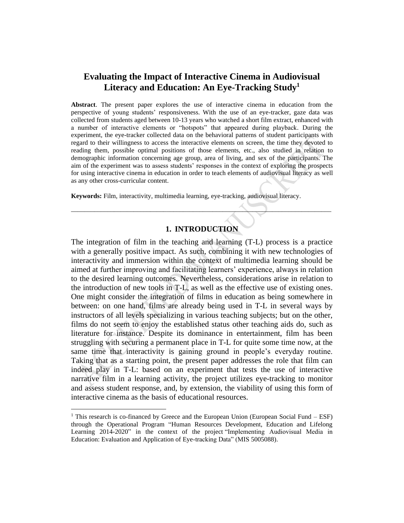# **Evaluating the Impact of Interactive Cinema in Audiovisual Literacy and Education: An Eye-Tracking Study<sup>1</sup>**

**Abstract**. The present paper explores the use of interactive cinema in education from the perspective of young students' responsiveness. With the use of an eye-tracker, gaze data was collected from students aged between 10-13 years who watched a short film extract, enhanced with a number of interactive elements or "hotspots" that appeared during playback. During the experiment, the eye-tracker collected data on the behavioral patterns of student participants with regard to their willingness to access the interactive elements on screen, the time they devoted to reading them, possible optimal positions of those elements, etc., also studied in relation to demographic information concerning age group, area of living, and sex of the participants. The aim of the experiment was to assess students' responses in the context of exploring the prospects for using interactive cinema in education in order to teach elements of audiovisual literacy as well as any other cross-curricular content.

**Keywords:** Film, interactivity, multimedia learning, eye-tracking, audiovisual literacy.

# **1. INTRODUCTION**

\_\_\_\_\_\_\_\_\_\_\_\_\_\_\_\_\_\_\_\_\_\_\_\_\_\_\_\_\_\_\_\_\_\_\_\_\_\_\_\_\_\_\_\_\_\_\_\_\_\_\_\_\_\_\_\_\_\_\_\_\_\_\_\_\_\_\_\_\_\_\_\_\_\_\_\_\_\_\_

The integration of film in the teaching and learning (T-L) process is a practice with a generally positive impact. As such, combining it with new technologies of interactivity and immersion within the context of multimedia learning should be aimed at further improving and facilitating learners' experience, always in relation to the desired learning outcomes. Nevertheless, considerations arise in relation to the introduction of new tools in T-L, as well as the effective use of existing ones. One might consider the integration of films in education as being somewhere in between: on one hand, films are already being used in T-L in several ways by instructors of all levels specializing in various teaching subjects; but on the other, films do not seem to enjoy the established status other teaching aids do, such as literature for instance. Despite its dominance in entertainment, film has been struggling with securing a permanent place in T-L for quite some time now, at the same time that interactivity is gaining ground in people's everyday routine. Taking that as a starting point, the present paper addresses the role that film can indeed play in T-L: based on an experiment that tests the use of interactive narrative film in a learning activity, the project utilizes eye-tracking to monitor and assess student response, and, by extension, the viability of using this form of interactive cinema as the basis of educational resources.

<sup>&</sup>lt;sup>1</sup> This research is co-financed by Greece and the European Union (European Social Fund – ESF) through the Operational Program "Human Resources Development, Education and Lifelong Learning 2014-2020" in the context of the project "Implementing Audiovisual Media in Education: Evaluation and Application of Eye-tracking Data" (MIS 5005088).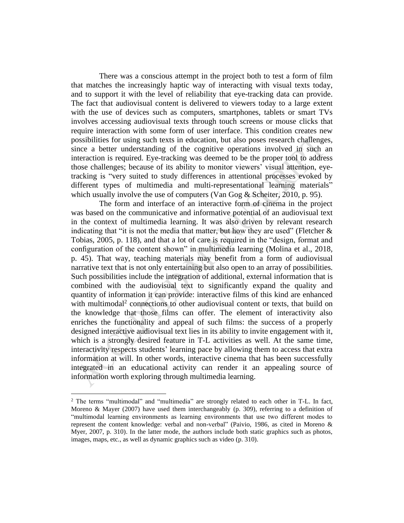There was a conscious attempt in the project both to test a form of film that matches the increasingly haptic way of interacting with visual texts today, and to support it with the level of reliability that eye-tracking data can provide. The fact that audiovisual content is delivered to viewers today to a large extent with the use of devices such as computers, smartphones, tablets or smart TVs involves accessing audiovisual texts through touch screens or mouse clicks that require interaction with some form of user interface. This condition creates new possibilities for using such texts in education, but also poses research challenges, since a better understanding of the cognitive operations involved in such an interaction is required. Eye-tracking was deemed to be the proper tool to address those challenges; because of its ability to monitor viewers' visual attention, eyetracking is "very suited to study differences in attentional processes evoked by different types of multimedia and multi-representational learning materials" which usually involve the use of computers (Van Gog  $&$  Scheiter, 2010, p. 95).

The form and interface of an interactive form of cinema in the project was based on the communicative and informative potential of an audiovisual text in the context of multimedia learning. It was also driven by relevant research indicating that "it is not the media that matter, but how they are used" (Fletcher  $\&$ Tobias, 2005, p. 118), and that a lot of care is required in the "design, format and configuration of the content shown" in multimedia learning (Molina et al., 2018, p. 45). That way, teaching materials may benefit from a form of audiovisual narrative text that is not only entertaining but also open to an array of possibilities. Such possibilities include the integration of additional, external information that is combined with the audiovisual text to significantly expand the quality and quantity of information it can provide: interactive films of this kind are enhanced with multimodal<sup>2</sup> connections to other audiovisual content or texts, that build on the knowledge that those films can offer. The element of interactivity also enriches the functionality and appeal of such films: the success of a properly designed interactive audiovisual text lies in its ability to invite engagement with it, which is a strongly desired feature in T-L activities as well. At the same time, interactivity respects students' learning pace by allowing them to access that extra information at will. In other words, interactive cinema that has been successfully integrated in an educational activity can render it an appealing source of information worth exploring through multimedia learning.

<sup>&</sup>lt;sup>2</sup> The terms "multimodal" and "multimedia" are strongly related to each other in T-L. In fact, Moreno & Mayer (2007) have used them interchangeably (p. 309), referring to a definition of "multimodal learning environments as learning environments that use two different modes to represent the content knowledge: verbal and non-verbal" (Paivio, 1986, as cited in Moreno & Myer, 2007, p. 310). In the latter mode, the authors include both static graphics such as photos, images, maps, etc., as well as dynamic graphics such as video (p. 310).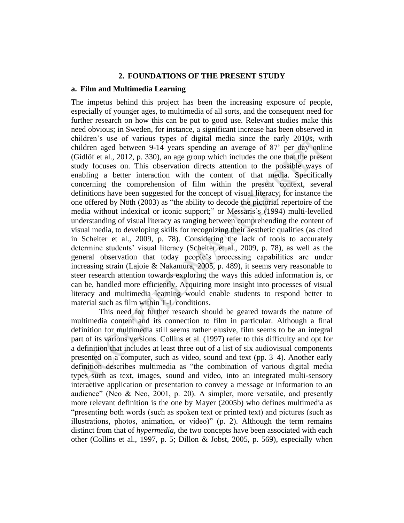#### **2. FOUNDATIONS OF THE PRESENT STUDY**

#### **a. Film and Multimedia Learning**

The impetus behind this project has been the increasing exposure of people, especially of younger ages, to multimedia of all sorts, and the consequent need for further research on how this can be put to good use. Relevant studies make this need obvious; in Sweden, for instance, a significant increase has been observed in children's use of various types of digital media since the early 2010s, with children aged between 9-14 years spending an average of 87' per day online (Gidlöf et al., 2012, p. 330), an age group which includes the one that the present study focuses on. This observation directs attention to the possible ways of enabling a better interaction with the content of that media. Specifically concerning the comprehension of film within the present context, several definitions have been suggested for the concept of visual literacy, for instance the one offered by Nöth (2003) as "the ability to decode the pictorial repertoire of the media without indexical or iconic support;" or Messaris's (1994) multi-levelled understanding of visual literacy as ranging between comprehending the content of visual media, to developing skills for recognizing their aesthetic qualities (as cited in Scheiter et al., 2009, p. 78). Considering the lack of tools to accurately determine students' visual literacy (Scheiter et al., 2009, p. 78), as well as the general observation that today people's processing capabilities are under increasing strain (Lajoie & Nakamura, 2005, p. 489), it seems very reasonable to steer research attention towards exploring the ways this added information is, or can be, handled more efficiently. Acquiring more insight into processes of visual literacy and multimedia learning would enable students to respond better to material such as film within T-L conditions.

This need for further research should be geared towards the nature of multimedia content and its connection to film in particular. Although a final definition for multimedia still seems rather elusive, film seems to be an integral part of its various versions. Collins et al. (1997) refer to this difficulty and opt for a definition that includes at least three out of a list of six audiovisual components presented on a computer, such as video, sound and text (pp. 3–4). Another early definition describes multimedia as "the combination of various digital media types such as text, images, sound and video, into an integrated multi-sensory interactive application or presentation to convey a message or information to an audience" (Neo & Neo, 2001, p. 20). A simpler, more versatile, and presently more relevant definition is the one by Mayer (2005b) who defines multimedia as "presenting both words (such as spoken text or printed text) and pictures (such as illustrations, photos, animation, or video)" (p. 2). Although the term remains distinct from that of *hypermedia*, the two concepts have been associated with each other (Collins et al., 1997, p. 5; Dillon & Jobst, 2005, p. 569), especially when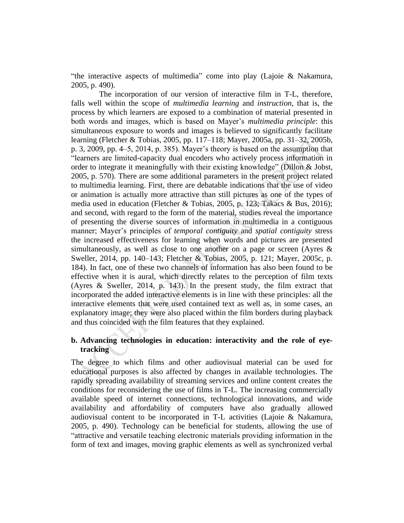"the interactive aspects of multimedia" come into play (Lajoie & Nakamura, 2005, p. 490).

The incorporation of our version of interactive film in T-L, therefore, falls well within the scope of *multimedia learning* and *instruction*, that is, the process by which learners are exposed to a combination of material presented in both words and images, which is based on Mayer's *multimedia principle*: this simultaneous exposure to words and images is believed to significantly facilitate learning (Fletcher & Tobias, 2005, pp. 117–118; Mayer, 2005a, pp. 31–32, 2005b, p. 3, 2009, pp. 4–5, 2014, p. 385). Mayer's theory is based on the assumption that "learners are limited-capacity dual encoders who actively process information in order to integrate it meaningfully with their existing knowledge" (Dillon & Jobst, 2005, p. 570). There are some additional parameters in the present project related to multimedia learning. First, there are debatable indications that the use of video or animation is actually more attractive than still pictures as one of the types of media used in education (Fletcher & Tobias, 2005, p. 123; Takacs & Bus, 2016); and second, with regard to the form of the material, studies reveal the importance of presenting the diverse sources of information in multimedia in a contiguous manner; Mayer's principles of *temporal contiguity* and *spatial contiguity* stress the increased effectiveness for learning when words and pictures are presented simultaneously, as well as close to one another on a page or screen (Ayres & Sweller, 2014, pp. 140–143; Fletcher & Tobias, 2005, p. 121; Mayer, 2005c, p. 184). In fact, one of these two channels of information has also been found to be effective when it is aural, which directly relates to the perception of film texts (Ayres & Sweller, 2014, p. 143). In the present study, the film extract that incorporated the added interactive elements is in line with these principles: all the interactive elements that were used contained text as well as, in some cases, an explanatory image; they were also placed within the film borders during playback and thus coincided with the film features that they explained.

# **b. Advancing technologies in education: interactivity and the role of eyetracking**

The degree to which films and other audiovisual material can be used for educational purposes is also affected by changes in available technologies. The rapidly spreading availability of streaming services and online content creates the conditions for reconsidering the use of films in T-L. The increasing commercially available speed of internet connections, technological innovations, and wide availability and affordability of computers have also gradually allowed audiovisual content to be incorporated in T-L activities (Lajoie & Nakamura, 2005, p. 490). Technology can be beneficial for students, allowing the use of "attractive and versatile teaching electronic materials providing information in the form of text and images, moving graphic elements as well as synchronized verbal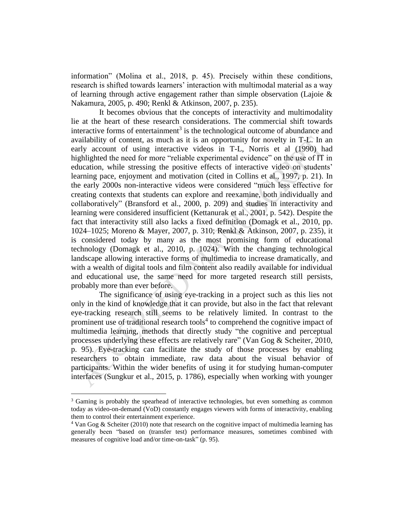information" (Molina et al., 2018, p. 45). Precisely within these conditions, research is shifted towards learners' interaction with multimodal material as a way of learning through active engagement rather than simple observation (Lajoie & Nakamura, 2005, p. 490; Renkl & Atkinson, 2007, p. 235).

It becomes obvious that the concepts of interactivity and multimodality lie at the heart of these research considerations. The commercial shift towards interactive forms of entertainment<sup>3</sup> is the technological outcome of abundance and availability of content, as much as it is an opportunity for novelty in T-L. In an early account of using interactive videos in T-L, Norris et al (1990) had highlighted the need for more "reliable experimental evidence" on the use of IT in education, while stressing the positive effects of interactive video on students' learning pace, enjoyment and motivation (cited in Collins et al., 1997, p. 21). In the early 2000s non-interactive videos were considered "much less effective for creating contexts that students can explore and reexamine, both individually and collaboratively" (Bransford et al., 2000, p. 209) and studies in interactivity and learning were considered insufficient (Kettanurak et al., 2001, p. 542). Despite the fact that interactivity still also lacks a fixed definition (Domagk et al., 2010, pp. 1024–1025; Moreno & Mayer, 2007, p. 310; Renkl & Atkinson, 2007, p. 235), it is considered today by many as the most promising form of educational technology (Domagk et al., 2010, p. 1024). With the changing technological landscape allowing interactive forms of multimedia to increase dramatically, and with a wealth of digital tools and film content also readily available for individual and educational use, the same need for more targeted research still persists, probably more than ever before.

The significance of using eye-tracking in a project such as this lies not only in the kind of knowledge that it can provide, but also in the fact that relevant eye-tracking research still seems to be relatively limited. In contrast to the prominent use of traditional research tools<sup>4</sup> to comprehend the cognitive impact of multimedia learning, methods that directly study "the cognitive and perceptual processes underlying these effects are relatively rare" (Van Gog & Scheiter, 2010, p. 95). Eye-tracking can facilitate the study of those processes by enabling researchers to obtain immediate, raw data about the visual behavior of participants. Within the wider benefits of using it for studying human-computer interfaces (Sungkur et al., 2015, p. 1786), especially when working with younger

<sup>&</sup>lt;sup>3</sup> Gaming is probably the spearhead of interactive technologies, but even something as common today as video-on-demand (VoD) constantly engages viewers with forms of interactivity, enabling them to control their entertainment experience.

 $4$  Van Gog & Scheiter (2010) note that research on the cognitive impact of multimedia learning has generally been "based on (transfer test) performance measures, sometimes combined with measures of cognitive load and/or time-on-task" (p. 95).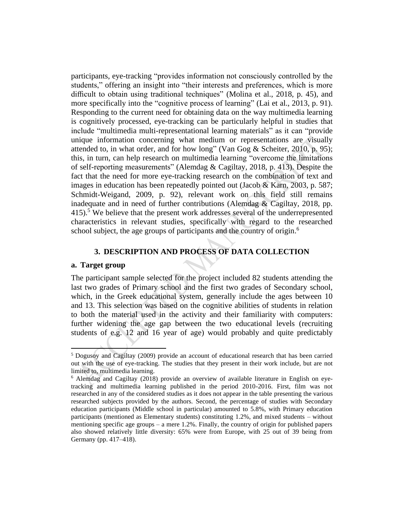participants, eye-tracking "provides information not consciously controlled by the students," offering an insight into "their interests and preferences, which is more difficult to obtain using traditional techniques" (Molina et al., 2018, p. 45), and more specifically into the "cognitive process of learning" (Lai et al., 2013, p. 91). Responding to the current need for obtaining data on the way multimedia learning is cognitively processed, eye-tracking can be particularly helpful in studies that include "multimedia multi-representational learning materials" as it can "provide unique information concerning what medium or representations are visually attended to, in what order, and for how long" (Van Gog & Scheiter, 2010, p. 95); this, in turn, can help research on multimedia learning "overcome the limitations of self-reporting measurements" (Alemdag & Cagiltay, 2018, p. 413). Despite the fact that the need for more eye-tracking research on the combination of text and images in education has been repeatedly pointed out (Jacob & Karn, 2003, p. 587; Schmidt-Weigand, 2009, p. 92), relevant work on this field still remains inadequate and in need of further contributions (Alemdag  $\&$  Cagiltay, 2018, pp. 415).<sup>5</sup> We believe that the present work addresses several of the underrepresented characteristics in relevant studies, specifically with regard to the researched school subject, the age groups of participants and the country of origin.<sup>6</sup>

#### **3. DESCRIPTION AND PROCESS OF DATA COLLECTION**

#### **a. Target group**

The participant sample selected for the project included 82 students attending the last two grades of Primary school and the first two grades of Secondary school, which, in the Greek educational system, generally include the ages between 10 and 13. This selection was based on the cognitive abilities of students in relation to both the material used in the activity and their familiarity with computers: further widening the age gap between the two educational levels (recruiting students of e.g. 12 and 16 year of age) would probably and quite predictably

<sup>5</sup> Dogusoy and Cagiltay (2009) provide an account of educational research that has been carried out with the use of eye-tracking. The studies that they present in their work include, but are not limited to, multimedia learning.

<sup>6</sup> Alemdag and Cagiltay (2018) provide an overview of available literature in English on eyetracking and multimedia learning published in the period 2010-2016. First, film was not researched in any of the considered studies as it does not appear in the table presenting the various researched subjects provided by the authors. Second, the percentage of studies with Secondary education participants (Middle school in particular) amounted to 5.8%, with Primary education participants (mentioned as Elementary students) constituting 1.2%, and mixed students – without mentioning specific age groups – a mere 1.2%. Finally, the country of origin for published papers also showed relatively little diversity: 65% were from Europe, with 25 out of 39 being from Germany (pp. 417–418).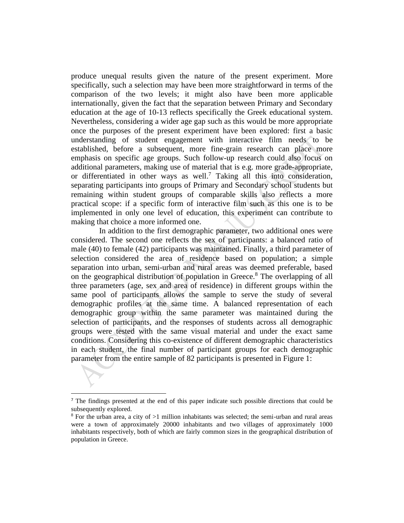produce unequal results given the nature of the present experiment. More specifically, such a selection may have been more straightforward in terms of the comparison of the two levels; it might also have been more applicable internationally, given the fact that the separation between Primary and Secondary education at the age of 10-13 reflects specifically the Greek educational system. Nevertheless, considering a wider age gap such as this would be more appropriate once the purposes of the present experiment have been explored: first a basic understanding of student engagement with interactive film needs to be established, before a subsequent, more fine-grain research can place more emphasis on specific age groups. Such follow-up research could also focus on additional parameters, making use of material that is e.g. more grade-appropriate, or differentiated in other ways as well. <sup>7</sup> Taking all this into consideration, separating participants into groups of Primary and Secondary school students but remaining within student groups of comparable skills also reflects a more practical scope: if a specific form of interactive film such as this one is to be implemented in only one level of education, this experiment can contribute to making that choice a more informed one.

In addition to the first demographic parameter, two additional ones were considered. The second one reflects the sex of participants: a balanced ratio of male (40) to female (42) participants was maintained. Finally, a third parameter of selection considered the area of residence based on population; a simple separation into urban, semi-urban and rural areas was deemed preferable, based on the geographical distribution of population in Greece. <sup>8</sup> The overlapping of all three parameters (age, sex and area of residence) in different groups within the same pool of participants allows the sample to serve the study of several demographic profiles at the same time. A balanced representation of each demographic group within the same parameter was maintained during the selection of participants, and the responses of students across all demographic groups were tested with the same visual material and under the exact same conditions. Considering this co-existence of different demographic characteristics in each student, the final number of participant groups for each demographic parameter from the entire sample of 82 participants is presented in Figure 1:

<sup>&</sup>lt;sup>7</sup> The findings presented at the end of this paper indicate such possible directions that could be subsequently explored.

<sup>&</sup>lt;sup>8</sup> For the urban area, a city of  $>1$  million inhabitants was selected; the semi-urban and rural areas were a town of approximately 20000 inhabitants and two villages of approximately 1000 inhabitants respectively, both of which are fairly common sizes in the geographical distribution of population in Greece.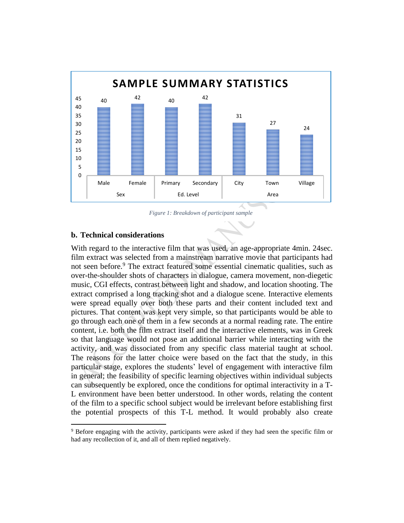

*Figure 1: Breakdown of participant sample*

#### **b. Technical considerations**

With regard to the interactive film that was used, an age-appropriate 4min. 24sec. film extract was selected from a mainstream narrative movie that participants had not seen before.<sup>9</sup> The extract featured some essential cinematic qualities, such as over-the-shoulder shots of characters in dialogue, camera movement, non-diegetic music, CGI effects, contrast between light and shadow, and location shooting. The extract comprised a long tracking shot and a dialogue scene. Interactive elements were spread equally over both these parts and their content included text and pictures. That content was kept very simple, so that participants would be able to go through each one of them in a few seconds at a normal reading rate. The entire content, i.e. both the film extract itself and the interactive elements, was in Greek so that language would not pose an additional barrier while interacting with the activity, and was dissociated from any specific class material taught at school. The reasons for the latter choice were based on the fact that the study, in this particular stage, explores the students' level of engagement with interactive film in general; the feasibility of specific learning objectives within individual subjects can subsequently be explored, once the conditions for optimal interactivity in a T-L environment have been better understood. In other words, relating the content of the film to a specific school subject would be irrelevant before establishing first the potential prospects of this T-L method. It would probably also create

<sup>9</sup> Before engaging with the activity, participants were asked if they had seen the specific film or had any recollection of it, and all of them replied negatively.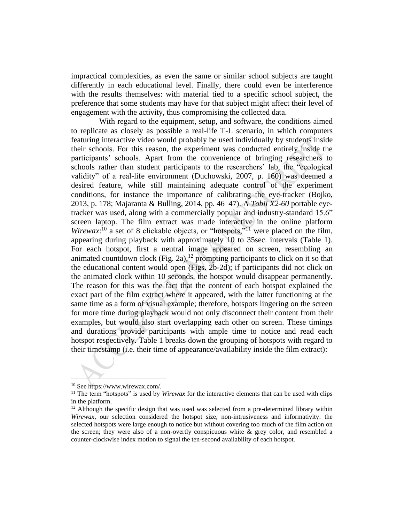impractical complexities, as even the same or similar school subjects are taught differently in each educational level. Finally, there could even be interference with the results themselves: with material tied to a specific school subject, the preference that some students may have for that subject might affect their level of engagement with the activity, thus compromising the collected data.

With regard to the equipment, setup, and software, the conditions aimed to replicate as closely as possible a real-life T-L scenario, in which computers featuring interactive video would probably be used individually by students inside their schools. For this reason, the experiment was conducted entirely inside the participants' schools. Apart from the convenience of bringing researchers to schools rather than student participants to the researchers' lab, the "ecological validity" of a real-life environment (Duchowski, 2007, p. 160) was deemed a desired feature, while still maintaining adequate control of the experiment conditions, for instance the importance of calibrating the eye-tracker (Bojko, 2013, p. 178; Majaranta & Bulling, 2014, pp. 46–47). A *Tobii X2-60* portable eyetracker was used, along with a commercially popular and industry-standard 15.6" screen laptop. The film extract was made interactive in the online platform Wirewax:<sup>10</sup> a set of 8 clickable objects, or "hotspots,"<sup>11</sup> were placed on the film, appearing during playback with approximately 10 to 35sec. intervals (Table 1). For each hotspot, first a neutral image appeared on screen, resembling an animated countdown clock (Fig. 2a), $^{12}$  prompting participants to click on it so that the educational content would open (Figs. 2b-2d); if participants did not click on the animated clock within 10 seconds, the hotspot would disappear permanently. The reason for this was the fact that the content of each hotspot explained the exact part of the film extract where it appeared, with the latter functioning at the same time as a form of visual example; therefore, hotspots lingering on the screen for more time during playback would not only disconnect their content from their examples, but would also start overlapping each other on screen. These timings and durations provide participants with ample time to notice and read each hotspot respectively. Table 1 breaks down the grouping of hotspots with regard to their timestamp (i.e. their time of appearance/availability inside the film extract):

<sup>10</sup> See https://www.wirewax.com/.

<sup>&</sup>lt;sup>11</sup> The term "hotspots" is used by *Wirewax* for the interactive elements that can be used with clips in the platform.

 $12$  Although the specific design that was used was selected from a pre-determined library within *Wirewax*, our selection considered the hotspot size, non-intrusiveness and informativity: the selected hotspots were large enough to notice but without covering too much of the film action on the screen; they were also of a non-overtly conspicuous white & grey color, and resembled a counter-clockwise index motion to signal the ten-second availability of each hotspot.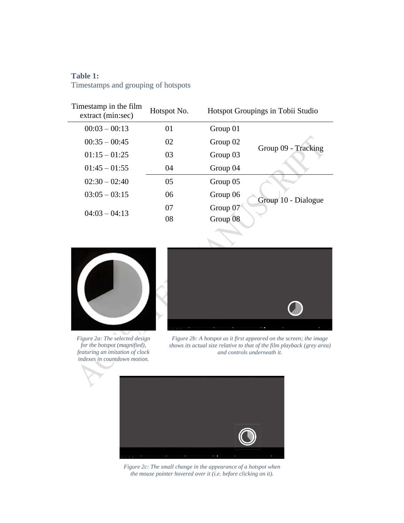# **Table 1:**

 $\overline{a}$ 

Timestamps and grouping of hotspots

| Timestamp in the film<br>extract (min:sec) | Hotspot No. |          | Hotspot Groupings in Tobii Studio |
|--------------------------------------------|-------------|----------|-----------------------------------|
| $00:03 - 00:13$                            | 01          | Group 01 |                                   |
| $00:35 - 00:45$                            | 02          | Group 02 |                                   |
| $01:15 - 01:25$                            | 03          | Group 03 | Group 09 - Tracking               |
| $01:45 - 01:55$                            | 04          | Group 04 |                                   |
| $02:30 - 02:40$                            | 05          | Group 05 |                                   |
| $03:05 - 03:15$                            | 06          | Group 06 | Group 10 - Dialogue               |
| $04:03 - 04:13$                            | 07          | Group 07 |                                   |
|                                            | 08          | Group 08 |                                   |
|                                            |             |          |                                   |



*Figure 2a: The selected design for the hotspot (magnified), featuring an imitation of clock indexes in countdown motion.*



*Figure 2b: A hotspot as it first appeared on the screen; the image shows its actual size relative to that of the film playback (grey area) and controls underneath it.*



*Figure 2c: The small change in the appearance of a hotspot when the mouse pointer hovered over it (i.e. before clicking on it).*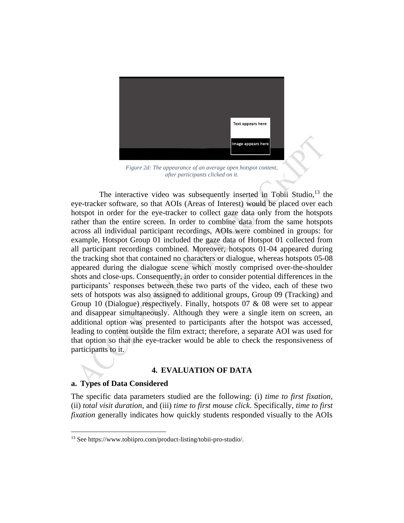

*Figure 2d: The appearance of an average open hotspot content, after participants clicked on it.*

The interactive video was subsequently inserted in Tobii Studio, $13$  the eye-tracker software, so that AOIs (Areas of Interest) would be placed over each hotspot in order for the eye-tracker to collect gaze data only from the hotspots rather than the entire screen. In order to combine data from the same hotspots across all individual participant recordings, AOIs were combined in groups: for example, Hotspot Group 01 included the gaze data of Hotspot 01 collected from all participant recordings combined. Moreover, hotspots 01-04 appeared during the tracking shot that contained no characters or dialogue, whereas hotspots 05-08 appeared during the dialogue scene which mostly comprised over-the-shoulder shots and close-ups. Consequently, in order to consider potential differences in the participants' responses between these two parts of the video, each of these two sets of hotspots was also assigned to additional groups, Group 09 (Tracking) and Group 10 (Dialogue) respectively. Finally, hotspots 07 & 08 were set to appear and disappear simultaneously. Although they were a single item on screen, an additional option was presented to participants after the hotspot was accessed, leading to content outside the film extract; therefore, a separate AOI was used for that option so that the eye-tracker would be able to check the responsiveness of participants to it.

# **4. EVALUATION OF DATA**

## **a. Types of Data Considered**

The specific data parameters studied are the following: (i) *time to first fixation*, (ii) *total visit duration*, and (iii) *time to first mouse click*. Specifically, *time to first fixation* generally indicates how quickly students responded visually to the AOIs

<sup>13</sup> See https://www.tobiipro.com/product-listing/tobii-pro-studio/.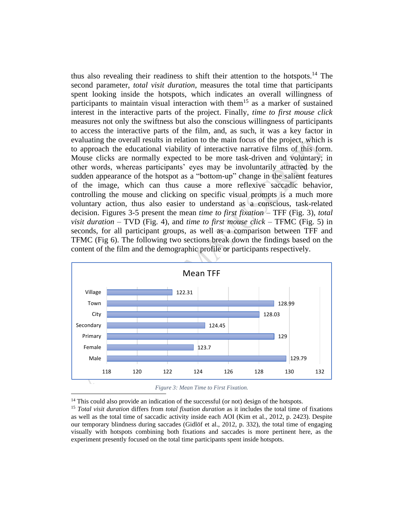thus also revealing their readiness to shift their attention to the hotspots. <sup>14</sup> The second parameter, *total visit duration*, measures the total time that participants spent looking inside the hotspots, which indicates an overall willingness of participants to maintain visual interaction with them<sup>15</sup> as a marker of sustained interest in the interactive parts of the project. Finally, *time to first mouse click* measures not only the swiftness but also the conscious willingness of participants to access the interactive parts of the film, and, as such, it was a key factor in evaluating the overall results in relation to the main focus of the project, which is to approach the educational viability of interactive narrative films of this form. Mouse clicks are normally expected to be more task-driven and voluntary; in other words, whereas participants' eyes may be involuntarily attracted by the sudden appearance of the hotspot as a "bottom-up" change in the salient features of the image, which can thus cause a more reflexive saccadic behavior, controlling the mouse and clicking on specific visual prompts is a much more voluntary action, thus also easier to understand as a conscious, task-related decision. Figures 3-5 present the mean *time to first fixation* – TFF (Fig. 3), *total visit duration* – TVD (Fig. 4), and *time to first mouse click* – TFMC (Fig. 5) in seconds, for all participant groups, as well as a comparison between TFF and TFMC (Fig 6). The following two sections break down the findings based on the content of the film and the demographic profile or participants respectively.





 $14$  This could also provide an indication of the successful (or not) design of the hotspots.

<sup>15</sup> *Total visit duration* differs from *total fixation duration* as it includes the total time of fixations as well as the total time of saccadic activity inside each AOI (Kim et al., 2012, p. 2423). Despite our temporary blindness during saccades (Gidlöf et al., 2012, p. 332), the total time of engaging visually with hotspots combining both fixations and saccades is more pertinent here, as the experiment presently focused on the total time participants spent inside hotspots.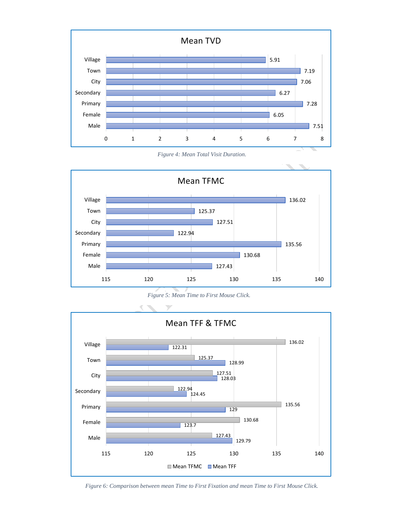





*Figure 5: Mean Time to First Mouse Click.*



*Figure 6: Comparison between mean Time to First Fixation and mean Time to First Mouse Click.*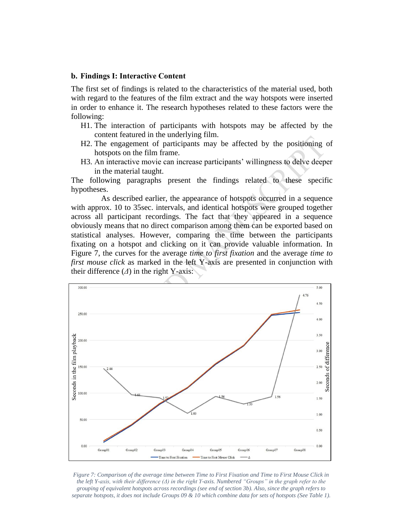#### **b. Findings Ι: Interactive Content**

The first set of findings is related to the characteristics of the material used, both with regard to the features of the film extract and the way hotspots were inserted in order to enhance it. The research hypotheses related to these factors were the following:

- H1. The interaction of participants with hotspots may be affected by the content featured in the underlying film.
- H2. The engagement of participants may be affected by the positioning of hotspots on the film frame.
- H3. An interactive movie can increase participants' willingness to delve deeper in the material taught.

The following paragraphs present the findings related to these specific hypotheses.

As described earlier, the appearance of hotspots occurred in a sequence with approx. 10 to 35sec. intervals, and identical hotspots were grouped together across all participant recordings. The fact that they appeared in a sequence obviously means that no direct comparison among them can be exported based on statistical analyses. However, comparing the time between the participants fixating on a hotspot and clicking on it can provide valuable information. In Figure 7, the curves for the average *time to first fixation* and the average *time to first mouse click* as marked in the left Y-axis are presented in conjunction with their difference (*Δ*) in the right Y-axis:



*Figure 7: Comparison of the average time between Time to First Fixation and Time to First Mouse Click in the left Y-axis, with their difference (Δ) in the right Y-axis. Numbered "Groups" in the graph refer to the grouping of equivalent hotspots across recordings (see end of section 3b). Also, since the graph refers to separate hotspots, it does not include Groups 09 & 10 which combine data for sets of hotspots (See Table 1).*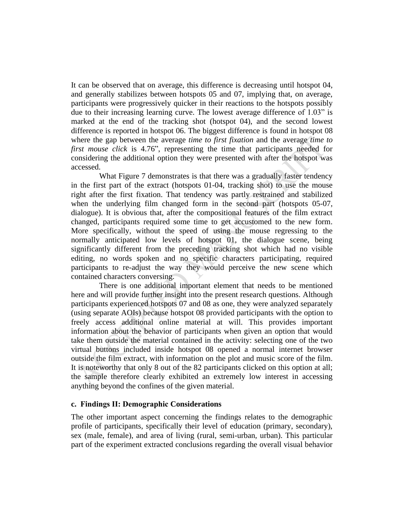It can be observed that on average, this difference is decreasing until hotspot 04, and generally stabilizes between hotspots 05 and 07, implying that, on average, participants were progressively quicker in their reactions to the hotspots possibly due to their increasing learning curve. The lowest average difference of 1.03" is marked at the end of the tracking shot (hotspot 04), and the second lowest difference is reported in hotspot 06. The biggest difference is found in hotspot 08 where the gap between the average *time to first fixation* and the average *time to first mouse click* is 4.76", representing the time that participants needed for considering the additional option they were presented with after the hotspot was accessed.

What Figure 7 demonstrates is that there was a gradually faster tendency in the first part of the extract (hotspots 01-04, tracking shot) to use the mouse right after the first fixation. That tendency was partly restrained and stabilized when the underlying film changed form in the second part (hotspots 05-07, dialogue). It is obvious that, after the compositional features of the film extract changed, participants required some time to get accustomed to the new form. More specifically, without the speed of using the mouse regressing to the normally anticipated low levels of hotspot 01, the dialogue scene, being significantly different from the preceding tracking shot which had no visible editing, no words spoken and no specific characters participating, required participants to re-adjust the way they would perceive the new scene which contained characters conversing.

There is one additional important element that needs to be mentioned here and will provide further insight into the present research questions. Although participants experienced hotspots 07 and 08 as one, they were analyzed separately (using separate AOIs) because hotspot 08 provided participants with the option to freely access additional online material at will. This provides important information about the behavior of participants when given an option that would take them outside the material contained in the activity: selecting one of the two virtual buttons included inside hotspot 08 opened a normal internet browser outside the film extract, with information on the plot and music score of the film. It is noteworthy that only 8 out of the 82 participants clicked on this option at all; the sample therefore clearly exhibited an extremely low interest in accessing anything beyond the confines of the given material.

## **c. Findings IΙ: Demographic Considerations**

The other important aspect concerning the findings relates to the demographic profile of participants, specifically their level of education (primary, secondary), sex (male, female), and area of living (rural, semi-urban, urban). This particular part of the experiment extracted conclusions regarding the overall visual behavior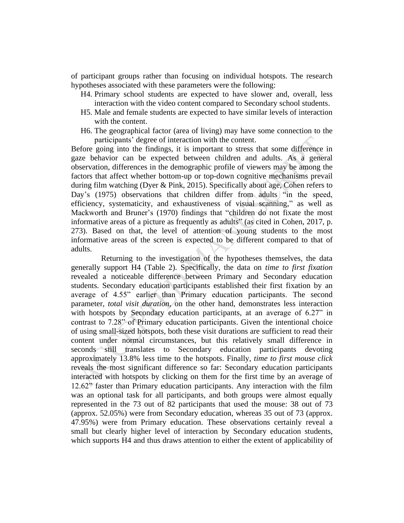of participant groups rather than focusing on individual hotspots. The research hypotheses associated with these parameters were the following:

- H4. Primary school students are expected to have slower and, overall, less interaction with the video content compared to Secondary school students.
- H5. Male and female students are expected to have similar levels of interaction with the content.
- H6. The geographical factor (area of living) may have some connection to the participants' degree of interaction with the content.

Before going into the findings, it is important to stress that some difference in gaze behavior can be expected between children and adults. As a general observation, differences in the demographic profile of viewers may be among the factors that affect whether bottom-up or top-down cognitive mechanisms prevail during film watching (Dyer & Pink, 2015). Specifically about age, Cohen refers to Day's (1975) observations that children differ from adults "in the speed, efficiency, systematicity, and exhaustiveness of visual scanning," as well as Mackworth and Bruner's (1970) findings that "children do not fixate the most informative areas of a picture as frequently as adults" (as cited in Cohen, 2017, p. 273). Based on that, the level of attention of young students to the most informative areas of the screen is expected to be different compared to that of adults.

Returning to the investigation of the hypotheses themselves, the data generally support H4 (Table 2). Specifically, the data on *time to first fixation* revealed a noticeable difference between Primary and Secondary education students. Secondary education participants established their first fixation by an average of 4.55" earlier than Primary education participants. The second parameter, *total visit duration*, on the other hand, demonstrates less interaction with hotspots by Secondary education participants, at an average of 6.27" in contrast to 7.28" of Primary education participants. Given the intentional choice of using small-sized hotspots, both these visit durations are sufficient to read their content under normal circumstances, but this relatively small difference in seconds still translates to Secondary education participants devoting approximately 13.8% less time to the hotspots. Finally, *time to first mouse click* reveals the most significant difference so far: Secondary education participants interacted with hotspots by clicking on them for the first time by an average of 12.62" faster than Primary education participants. Any interaction with the film was an optional task for all participants, and both groups were almost equally represented in the 73 out of 82 participants that used the mouse: 38 out of 73 (approx. 52.05%) were from Secondary education, whereas 35 out of 73 (approx. 47.95%) were from Primary education. These observations certainly reveal a small but clearly higher level of interaction by Secondary education students, which supports H4 and thus draws attention to either the extent of applicability of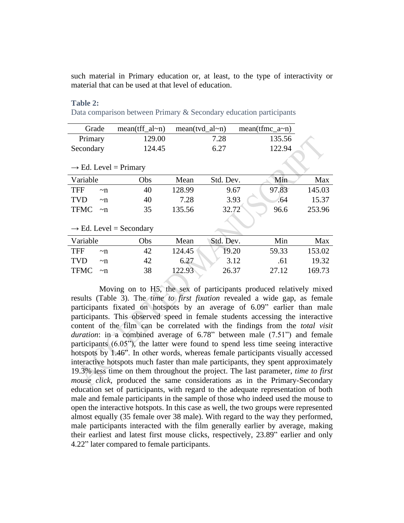such material in Primary education or, at least, to the type of interactivity or material that can be used at that level of education.

#### **Table 2:**

Data comparison between Primary & Secondary education participants

| Grade                  |                                     | $mean(tff_al~n)$ | $mean(tvd_all~n)$ |           | $mean(fmc_a \sim n)$ |        |
|------------------------|-------------------------------------|------------------|-------------------|-----------|----------------------|--------|
| Primary                |                                     | 129.00           |                   | 7.28      | 135.56               |        |
| Secondary              |                                     | 124.45           |                   | 6.27      | 122.94               |        |
|                        | $\rightarrow$ Ed. Level = Primary   |                  |                   |           |                      |        |
| Variable               |                                     | Obs              | Mean              | Std. Dev. | Min                  | Max    |
| <b>TFF</b><br>$\nu$ n  |                                     | 40               | 128.99            | 9.67      | 97.83                | 145.03 |
| <b>TVD</b><br>$\nu$ n  |                                     | 40               | 7.28              | 3.93      | .64                  | 15.37  |
| <b>TFMC</b><br>$\nu$ n |                                     | 35               | 135.56            | 32.72     | 96.6                 | 253.96 |
|                        |                                     |                  |                   |           |                      |        |
|                        | $\rightarrow$ Ed. Level = Secondary |                  |                   |           |                      |        |
| Variable               |                                     | Obs              | Mean              | Std. Dev. | Min                  | Max    |
| <b>TFF</b><br>$\nu$ n  |                                     | 42               | 124.45            | 19.20     | 59.33                | 153.02 |
| <b>TVD</b><br>$\nu$ n  |                                     | 42               | 6.27              | 3.12      | .61                  | 19.32  |
| TFMC<br>$\nu$ n        |                                     | 38               | 122.93            | 26.37     | 27.12                | 169.73 |

Moving on to H5, the sex of participants produced relatively mixed results (Table 3). The *time to first fixation* revealed a wide gap, as female participants fixated on hotspots by an average of 6.09" earlier than male participants. This observed speed in female students accessing the interactive content of the film can be correlated with the findings from the *total visit duration*: in a combined average of 6.78" between male (7.51") and female participants (6.05"), the latter were found to spend less time seeing interactive hotspots by 1.46". In other words, whereas female participants visually accessed interactive hotspots much faster than male participants, they spent approximately 19.3% less time on them throughout the project. The last parameter, *time to first mouse click*, produced the same considerations as in the Primary-Secondary education set of participants, with regard to the adequate representation of both male and female participants in the sample of those who indeed used the mouse to open the interactive hotspots. In this case as well, the two groups were represented almost equally (35 female over 38 male). With regard to the way they performed, male participants interacted with the film generally earlier by average, making their earliest and latest first mouse clicks, respectively, 23.89" earlier and only 4.22" later compared to female participants.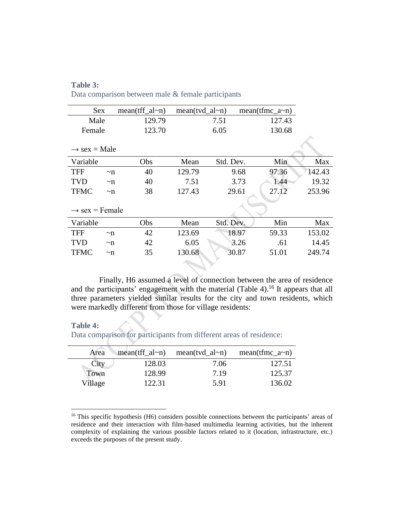| Table 3:                                           |  |  |  |
|----------------------------------------------------|--|--|--|
| Data comparison between male & female participants |  |  |  |

| <b>Sex</b>                 |         | $mean(tff_al \sim n)$ | $mean(tvd_a l$ ~n) |           | mean(tfmc $a \sim n$ ) |        |        |  |
|----------------------------|---------|-----------------------|--------------------|-----------|------------------------|--------|--------|--|
| Male                       |         | 129.79                |                    | 7.51      |                        | 127.43 |        |  |
| Female                     |         | 123.70                |                    | 6.05      |                        | 130.68 |        |  |
|                            |         |                       |                    |           |                        |        |        |  |
| $\rightarrow$ sex = Male   |         |                       |                    |           |                        |        |        |  |
| Variable                   |         | Obs                   | Mean               | Std. Dev. |                        | Min    | Max    |  |
| <b>TFF</b>                 | $\nu$ n | 40                    | 129.79             |           | 9.68                   | 97.36  | 142.43 |  |
| <b>TVD</b>                 | $\nu$ n | 40                    | 7.51               |           | 3.73                   | 1.44   | 19.32  |  |
| <b>TFMC</b>                | $\nu$ n | 38                    | 127.43             |           | 29.61                  | 27.12  | 253.96 |  |
|                            |         |                       |                    |           |                        |        |        |  |
| $\rightarrow$ sex = Female |         |                       |                    |           |                        |        |        |  |
| Variable                   |         | Obs                   | Mean               | Std. Dev. |                        | Min    | Max    |  |
| <b>TFF</b>                 | $\nu$ n | 42                    | 123.69             |           | 18.97                  | 59.33  | 153.02 |  |
| <b>TVD</b>                 | $\nu$ n | 42                    | 6.05               |           | 3.26                   | .61    | 14.45  |  |
| <b>TFMC</b>                | $\nu$ n | 35                    | 130.68             |           | 30.87                  | 51.01  | 249.74 |  |
|                            |         |                       |                    |           |                        |        |        |  |

Finally, H6 assumed a level of connection between the area of residence and the participants' engagement with the material (Table 4).<sup>16</sup> It appears that all three parameters yielded similar results for the city and town residents, which were markedly different from those for village residents:

| <b>Table 4:</b> |                                                                     |
|-----------------|---------------------------------------------------------------------|
|                 | Data comparison for participants from different areas of residence: |
|                 |                                                                     |

**Table 4:**

| Area    |        | $mean(tff\_al~n)$ mean(tvd $-al~n$ ) | $mean(fmc_a \sim n)$ |
|---------|--------|--------------------------------------|----------------------|
| City    | 128.03 | 7.06                                 | 127.51               |
| Town    | 128.99 | 7.19                                 | 125.37               |
| Village | 122.31 | 5.91                                 | 136.02               |

<sup>&</sup>lt;sup>16</sup> This specific hypothesis (H6) considers possible connections between the participants' areas of residence and their interaction with film-based multimedia learning activities, but the inherent complexity of explaining the various possible factors related to it (location, infrastructure, etc.) exceeds the purposes of the present study.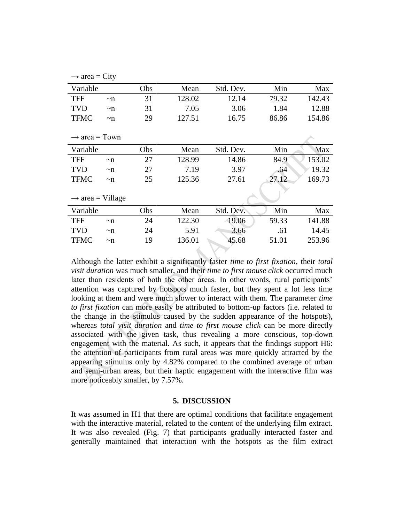|  | $\rightarrow$ area = City |  |  |
|--|---------------------------|--|--|
|--|---------------------------|--|--|

| Variable                     |         | Obs | Mean   | Std. Dev. | Min   | Max    |
|------------------------------|---------|-----|--------|-----------|-------|--------|
| <b>TFF</b>                   | $\nu$ n | 31  | 128.02 | 12.14     | 79.32 | 142.43 |
| <b>TVD</b>                   | $\nu$ n | 31  | 7.05   | 3.06      | 1.84  | 12.88  |
| <b>TFMC</b>                  | $\nu$ n | 29  | 127.51 | 16.75     | 86.86 | 154.86 |
|                              |         |     |        |           |       |        |
| $\rightarrow$ area = Town    |         |     |        |           |       |        |
| Variable                     |         | Obs | Mean   | Std. Dev. | Min   | Max    |
| <b>TFF</b>                   | $\nu$ n | 27  | 128.99 | 14.86     | 84.9  | 153.02 |
| <b>TVD</b>                   | $\nu$ n | 27  | 7.19   | 3.97      | .64   | 19.32  |
| <b>TFMC</b>                  | $\nu$ n | 25  | 125.36 | 27.61     | 27.12 | 169.73 |
|                              |         |     |        |           |       |        |
| $\rightarrow$ area = Village |         |     |        |           |       |        |
| Variable                     |         | Obs | Mean   | Std. Dev. | Min   | Max    |
| <b>TFF</b>                   | $\nu$ n | 24  | 122.30 | 19.06     | 59.33 | 141.88 |
| <b>TVD</b>                   | $\nu$ n | 24  | 5.91   | 3.66      | .61   | 14.45  |
| <b>TFMC</b>                  | $\nu$ n | 19  | 136.01 | 45.68     | 51.01 | 253.96 |
|                              |         |     |        |           |       |        |

Although the latter exhibit a significantly faster *time to first fixation*, their *total visit duration* was much smaller, and their *time to first mouse click* occurred much later than residents of both the other areas. In other words, rural participants' attention was captured by hotspots much faster, but they spent a lot less time looking at them and were much slower to interact with them. The parameter *time to first fixation* can more easily be attributed to bottom-up factors (i.e. related to the change in the stimulus caused by the sudden appearance of the hotspots), whereas *total visit duration* and *time to first mouse click* can be more directly associated with the given task, thus revealing a more conscious, top-down engagement with the material. As such, it appears that the findings support H6: the attention of participants from rural areas was more quickly attracted by the appearing stimulus only by 4.82% compared to the combined average of urban and semi-urban areas, but their haptic engagement with the interactive film was more noticeably smaller, by 7.57%.

#### **5. DISCUSSION**

It was assumed in H1 that there are optimal conditions that facilitate engagement with the interactive material, related to the content of the underlying film extract. It was also revealed (Fig. 7) that participants gradually interacted faster and generally maintained that interaction with the hotspots as the film extract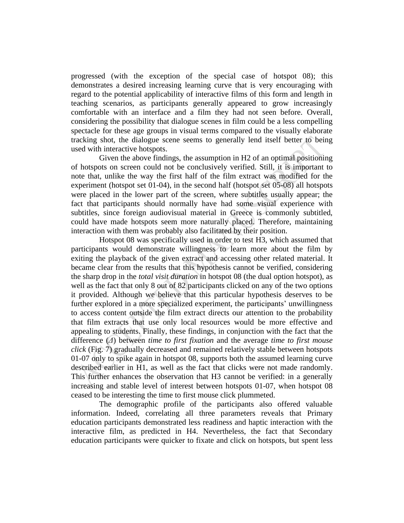progressed (with the exception of the special case of hotspot 08); this demonstrates a desired increasing learning curve that is very encouraging with regard to the potential applicability of interactive films of this form and length in teaching scenarios, as participants generally appeared to grow increasingly comfortable with an interface and a film they had not seen before. Overall, considering the possibility that dialogue scenes in film could be a less compelling spectacle for these age groups in visual terms compared to the visually elaborate tracking shot, the dialogue scene seems to generally lend itself better to being used with interactive hotspots.

Given the above findings, the assumption in H2 of an optimal positioning of hotspots on screen could not be conclusively verified. Still, it is important to note that, unlike the way the first half of the film extract was modified for the experiment (hotspot set 01-04), in the second half (hotspot set 05-08) all hotspots were placed in the lower part of the screen, where subtitles usually appear; the fact that participants should normally have had some visual experience with subtitles, since foreign audiovisual material in Greece is commonly subtitled, could have made hotspots seem more naturally placed. Therefore, maintaining interaction with them was probably also facilitated by their position.

Hotspot 08 was specifically used in order to test H3, which assumed that participants would demonstrate willingness to learn more about the film by exiting the playback of the given extract and accessing other related material. It became clear from the results that this hypothesis cannot be verified, considering the sharp drop in the *total visit duration* in hotspot 08 (the dual option hotspot), as well as the fact that only 8 out of 82 participants clicked on any of the two options it provided. Although we believe that this particular hypothesis deserves to be further explored in a more specialized experiment, the participants' unwillingness to access content outside the film extract directs our attention to the probability that film extracts that use only local resources would be more effective and appealing to students. Finally, these findings, in conjunction with the fact that the difference (*Δ*) between *time to first fixation* and the average *time to first mouse click* (Fig. 7) gradually decreased and remained relatively stable between hotspots 01-07 only to spike again in hotspot 08, supports both the assumed learning curve described earlier in H1, as well as the fact that clicks were not made randomly. This further enhances the observation that H3 cannot be verified: in a generally increasing and stable level of interest between hotspots 01-07, when hotspot 08 ceased to be interesting the time to first mouse click plummeted.

The demographic profile of the participants also offered valuable information. Indeed, correlating all three parameters reveals that Primary education participants demonstrated less readiness and haptic interaction with the interactive film, as predicted in H4. Nevertheless, the fact that Secondary education participants were quicker to fixate and click on hotspots, but spent less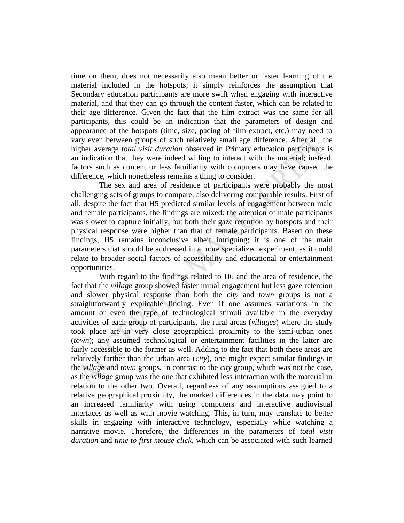time on them, does not necessarily also mean better or faster learning of the material included in the hotspots; it simply reinforces the assumption that Secondary education participants are more swift when engaging with interactive material, and that they can go through the content faster, which can be related to their age difference. Given the fact that the film extract was the same for all participants, this could be an indication that the parameters of design and appearance of the hotspots (time, size, pacing of film extract, etc.) may need to vary even between groups of such relatively small age difference. After all, the higher average *total visit duration* observed in Primary education participants is an indication that they were indeed willing to interact with the material; instead, factors such as content or less familiarity with computers may have caused the difference, which nonetheless remains a thing to consider.

The sex and area of residence of participants were probably the most challenging sets of groups to compare, also delivering comparable results. First of all, despite the fact that H5 predicted similar levels of engagement between male and female participants, the findings are mixed: the attention of male participants was slower to capture initially, but both their gaze retention by hotspots and their physical response were higher than that of female participants. Based on these findings, H5 remains inconclusive albeit intriguing; it is one of the main parameters that should be addressed in a more specialized experiment, as it could relate to broader social factors of accessibility and educational or entertainment opportunities.

With regard to the findings related to H6 and the area of residence, the fact that the *village* group showed faster initial engagement but less gaze retention and slower physical response than both the *city* and *town* groups is not a straightforwardly explicable finding. Even if one assumes variations in the amount or even the type of technological stimuli available in the everyday activities of each group of participants, the rural areas (*villages*) where the study took place are in very close geographical proximity to the semi-urban ones (*town*); any assumed technological or entertainment facilities in the latter are fairly accessible to the former as well. Adding to the fact that both these areas are relatively farther than the urban area (*city*), one might expect similar findings in the *village* and *town* groups, in contrast to the *city* group, which was not the case, as the *village* group was the one that exhibited less interaction with the material in relation to the other two. Overall, regardless of any assumptions assigned to a relative geographical proximity, the marked differences in the data may point to an increased familiarity with using computers and interactive audiovisual interfaces as well as with movie watching. This, in turn, may translate to better skills in engaging with interactive technology, especially while watching a narrative movie. Therefore, the differences in the parameters of *total visit duration* and *time to first mouse click*, which can be associated with such learned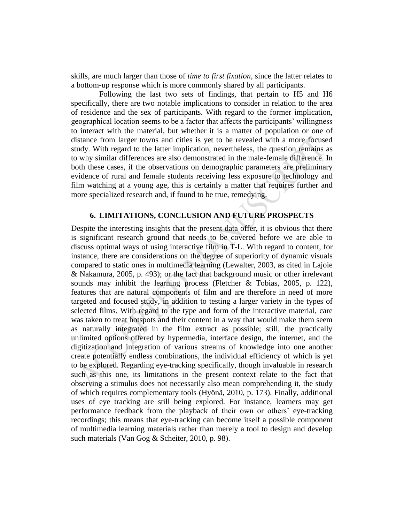skills, are much larger than those of *time to first fixation*, since the latter relates to a bottom-up response which is more commonly shared by all participants.

Following the last two sets of findings, that pertain to H5 and H6 specifically, there are two notable implications to consider in relation to the area of residence and the sex of participants. With regard to the former implication, geographical location seems to be a factor that affects the participants' willingness to interact with the material, but whether it is a matter of population or one of distance from larger towns and cities is yet to be revealed with a more focused study. With regard to the latter implication, nevertheless, the question remains as to why similar differences are also demonstrated in the male-female difference. In both these cases, if the observations on demographic parameters are preliminary evidence of rural and female students receiving less exposure to technology and film watching at a young age, this is certainly a matter that requires further and more specialized research and, if found to be true, remedying.

#### **6. LIMITATIONS, CONCLUSION AND FUTURE PROSPECTS**

Despite the interesting insights that the present data offer, it is obvious that there is significant research ground that needs to be covered before we are able to discuss optimal ways of using interactive film in T-L. With regard to content, for instance, there are considerations on the degree of superiority of dynamic visuals compared to static ones in multimedia learning (Lewalter, 2003, as cited in Lajoie & Nakamura, 2005, p. 493); or the fact that background music or other irrelevant sounds may inhibit the learning process (Fletcher & Tobias, 2005, p. 122), features that are natural components of film and are therefore in need of more targeted and focused study, in addition to testing a larger variety in the types of selected films. With regard to the type and form of the interactive material, care was taken to treat hotspots and their content in a way that would make them seem as naturally integrated in the film extract as possible; still, the practically unlimited options offered by hypermedia, interface design, the internet, and the digitization and integration of various streams of knowledge into one another create potentially endless combinations, the individual efficiency of which is yet to be explored. Regarding eye-tracking specifically, though invaluable in research such as this one, its limitations in the present context relate to the fact that observing a stimulus does not necessarily also mean comprehending it, the study of which requires complementary tools (Hyönä, 2010, p. 173). Finally, additional uses of eye tracking are still being explored. For instance, learners may get performance feedback from the playback of their own or others' eye-tracking recordings; this means that eye-tracking can become itself a possible component of multimedia learning materials rather than merely a tool to design and develop such materials (Van Gog & Scheiter, 2010, p. 98).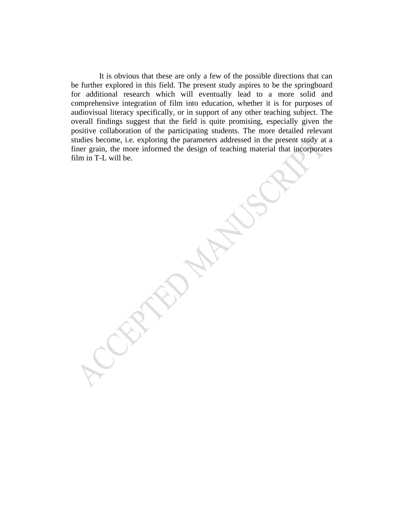It is obvious that these are only a few of the possible directions that can be further explored in this field. The present study aspires to be the springboard for additional research which will eventually lead to a more solid and comprehensive integration of film into education, whether it is for purposes of audiovisual literacy specifically, or in support of any other teaching subject. The overall findings suggest that the field is quite promising, especially given the positive collaboration of the participating students. The more detailed relevant studies become, i.e. exploring the parameters addressed in the present study at a finer grain, the more informed the design of teaching material that incorporates film in T-L will be.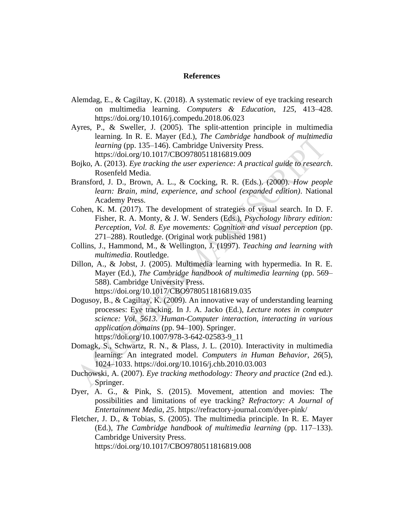#### **References**

- Alemdag, E., & Cagiltay, K. (2018). A systematic review of eye tracking research on multimedia learning. *Computers & Education*, *125*, 413–428. https://doi.org/10.1016/j.compedu.2018.06.023
- Ayres, P., & Sweller, J. (2005). The split-attention principle in multimedia learning. In R. E. Mayer (Ed.), *The Cambridge handbook of multimedia learning* (pp. 135–146). Cambridge University Press. https://doi.org/10.1017/CBO9780511816819.009
- Bojko, A. (2013). *Eye tracking the user experience: A practical guide to research*. Rosenfeld Media.
- Bransford, J. D., Brown, A. L., & Cocking, R. R. (Eds.). (2000). *How people learn: Brain, mind, experience, and school (expanded edition)*. National Academy Press.
- Cohen, K. M. (2017). The development of strategies of visual search. In D. F. Fisher, R. A. Monty, & J. W. Senders (Eds.), *Psychology library edition: Perception, Vol. 8. Eye movements: Cognition and visual perception* (pp. 271–288). Routledge. (Original work published 1981)
- Collins, J., Hammond, M., & Wellington, J. (1997). *Teaching and learning with multimedia*. Routledge.
- Dillon, A., & Jobst, J. (2005). Multimedia learning with hypermedia. In R. E. Mayer (Ed.), *The Cambridge handbook of multimedia learning* (pp. 569– 588). Cambridge University Press. https://doi.org/10.1017/CBO9780511816819.035
- Dogusoy, B., & Cagiltay, K. (2009). An innovative way of understanding learning processes: Eye tracking. In J. A. Jacko (Ed.), *Lecture notes in computer science: Vol. 5613. Human-Computer interaction, interacting in various application domains* (pp. 94–100). Springer. https://doi.org/10.1007/978-3-642-02583-9\_11
- Domagk, S., Schwartz, R. N., & Plass, J. L. (2010). Interactivity in multimedia learning: An integrated model. *Computers in Human Behavior*, *26*(5), 1024–1033. https://doi.org/10.1016/j.chb.2010.03.003
- Duchowski, A. (2007). *Eye tracking methodology: Theory and practice* (2nd ed.). Springer.
- Dyer, A. G., & Pink, S. (2015). Movement, attention and movies: The possibilities and limitations of eye tracking? *Refractory: A Journal of Entertainment Media*, *25*. https://refractory-journal.com/dyer-pink/
- Fletcher, J. D., & Tobias, S. (2005). The multimedia principle. In R. E. Mayer (Ed.), *The Cambridge handbook of multimedia learning* (pp. 117–133). Cambridge University Press. https://doi.org/10.1017/CBO9780511816819.008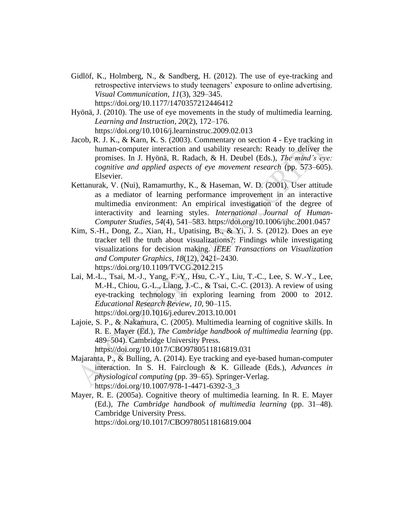- Gidlöf, K., Holmberg, N., & Sandberg, H. (2012). The use of eye-tracking and retrospective interviews to study teenagers' exposure to online advertising. *Visual Communication*, *11*(3), 329–345. https://doi.org/10.1177/1470357212446412
- Hyönä, J. (2010). The use of eye movements in the study of multimedia learning. *Learning and Instruction*, *20*(2), 172–176. https://doi.org/10.1016/j.learninstruc.2009.02.013
- Jacob, R. J. K., & Karn, K. S. (2003). Commentary on section 4 Eye tracking in human-computer interaction and usability research: Ready to deliver the promises. In J. Hyönä, R. Radach, & H. Deubel (Eds.), *The mind's eye: cognitive and applied aspects of eye movement research* (pp. 573–605). Elsevier.
- Kettanurak, V. (Nui), Ramamurthy, K., & Haseman, W. D. (2001). User attitude as a mediator of learning performance improvement in an interactive multimedia environment: An empirical investigation of the degree of interactivity and learning styles. *International Journal of Human-Computer Studies*, *54*(4), 541–583. https://doi.org/10.1006/ijhc.2001.0457
- Kim, S.-H., Dong, Z., Xian, H., Upatising, B., & Yi, J. S. (2012). Does an eye tracker tell the truth about visualizations?: Findings while investigating visualizations for decision making. *IEEE Transactions on Visualization and Computer Graphics*, *18*(12), 2421–2430. https://doi.org/10.1109/TVCG.2012.215
- Lai, M.-L., Tsai, M.-J., Yang, F.-Y., Hsu, C.-Y., Liu, T.-C., Lee, S. W.-Y., Lee, M.-H., Chiou, G.-L., Liang, J.-C., & Tsai, C.-C. (2013). A review of using eye-tracking technology in exploring learning from 2000 to 2012. *Educational Research Review*, *10*, 90–115. https://doi.org/10.1016/j.edurev.2013.10.001
- Lajoie, S. P., & Nakamura, C. (2005). Multimedia learning of cognitive skills. In R. E. Mayer (Ed.), *The Cambridge handbook of multimedia learning* (pp. 489–504). Cambridge University Press. https://doi.org/10.1017/CBO9780511816819.031
- Majaranta, P., & Bulling, A. (2014). Eye tracking and eye-based human-computer interaction. In S. H. Fairclough & K. Gilleade (Eds.), *Advances in physiological computing* (pp. 39–65). Springer-Verlag. https://doi.org/10.1007/978-1-4471-6392-3\_3
- Mayer, R. E. (2005a). Cognitive theory of multimedia learning. In R. E. Mayer (Ed.), *The Cambridge handbook of multimedia learning* (pp. 31–48). Cambridge University Press. https://doi.org/10.1017/CBO9780511816819.004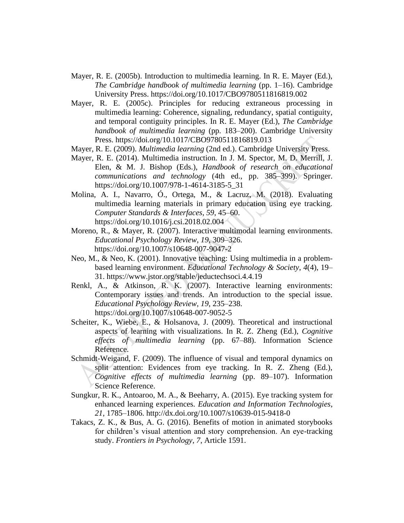- Mayer, R. E. (2005b). Introduction to multimedia learning. In R. E. Mayer (Ed.), *The Cambridge handbook of multimedia learning* (pp. 1–16). Cambridge University Press. https://doi.org/10.1017/CBO9780511816819.002
- Mayer, R. E. (2005c). Principles for reducing extraneous processing in multimedia learning: Coherence, signaling, redundancy, spatial contiguity, and temporal contiguity principles. In R. E. Mayer (Ed.), *The Cambridge handbook of multimedia learning* (pp. 183–200). Cambridge University Press. https://doi.org/10.1017/CBO9780511816819.013
- Mayer, R. E. (2009). *Multimedia learning* (2nd ed.). Cambridge University Press.
- Mayer, R. E. (2014). Multimedia instruction. In J. M. Spector, M. D. Merrill, J. Elen, & M. J. Bishop (Eds.), *Handbook of research on educational communications and technology* (4th ed., pp. 385–399). Springer. https://doi.org/10.1007/978-1-4614-3185-5\_31
- Molina, A. I., Navarro, Ó., Ortega, M., & Lacruz, M. (2018). Evaluating multimedia learning materials in primary education using eye tracking. *Computer Standards & Interfaces*, *59*, 45–60. https://doi.org/10.1016/j.csi.2018.02.004
- Moreno, R., & Mayer, R. (2007). Interactive multimodal learning environments. *Educational Psychology Review*, *19*, 309–326. https://doi.org/10.1007/s10648-007-9047-2
- Neo, M., & Neo, K. (2001). Innovative teaching: Using multimedia in a problembased learning environment. *Educational Technology & Society*, *4*(4), 19– 31. https://www.jstor.org/stable/jeductechsoci.4.4.19
- Renkl, A., & Atkinson, R. K. (2007). Interactive learning environments: Contemporary issues and trends. An introduction to the special issue. *Educational Psychology Review*, *19*, 235–238. https://doi.org/10.1007/s10648-007-9052-5
- Scheiter, K., Wiebe, E., & Holsanova, J. (2009). Theoretical and instructional aspects of learning with visualizations. In R. Z. Zheng (Ed.), *Cognitive effects of multimedia learning* (pp. 67–88). Information Science Reference.
- Schmidt-Weigand, F. (2009). The influence of visual and temporal dynamics on split attention: Evidences from eye tracking. In R. Z. Zheng (Ed.), *Cognitive effects of multimedia learning* (pp. 89–107). Information Science Reference.
- Sungkur, R. K., Antoaroo, M. A., & Beeharry, A. (2015). Eye tracking system for enhanced learning experiences. *Education and Information Technologies*, *21*, 1785–1806. http://dx.doi.org/10.1007/s10639-015-9418-0
- Takacs, Z. K., & Bus, A. G. (2016). Benefits of motion in animated storybooks for children's visual attention and story comprehension. An eye-tracking study. *Frontiers in Psychology*, *7*, Article 1591.